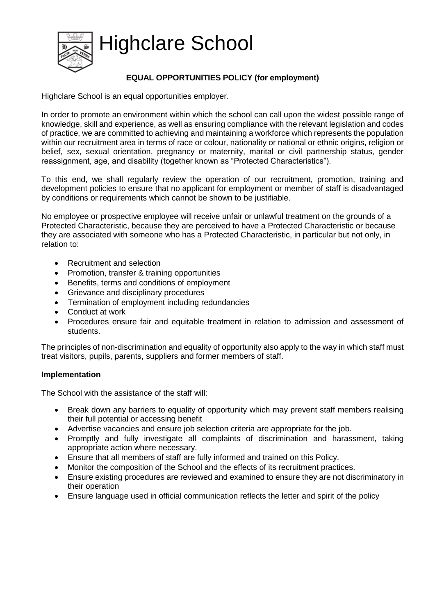Highclare School



# **EQUAL OPPORTUNITIES POLICY (for employment)**

Highclare School is an equal opportunities employer.

In order to promote an environment within which the school can call upon the widest possible range of knowledge, skill and experience, as well as ensuring compliance with the relevant legislation and codes of practice, we are committed to achieving and maintaining a workforce which represents the population within our recruitment area in terms of race or colour, nationality or national or ethnic origins, religion or belief, sex, sexual orientation, pregnancy or maternity, marital or civil partnership status, gender reassignment, age, and disability (together known as "Protected Characteristics").

To this end, we shall regularly review the operation of our recruitment, promotion, training and development policies to ensure that no applicant for employment or member of staff is disadvantaged by conditions or requirements which cannot be shown to be justifiable.

No employee or prospective employee will receive unfair or unlawful treatment on the grounds of a Protected Characteristic, because they are perceived to have a Protected Characteristic or because they are associated with someone who has a Protected Characteristic, in particular but not only, in relation to:

- Recruitment and selection
- Promotion, transfer & training opportunities
- Benefits, terms and conditions of employment
- Grievance and disciplinary procedures
- Termination of employment including redundancies
- Conduct at work
- Procedures ensure fair and equitable treatment in relation to admission and assessment of students.

The principles of non-discrimination and equality of opportunity also apply to the way in which staff must treat visitors, pupils, parents, suppliers and former members of staff.

### **Implementation**

The School with the assistance of the staff will:

- Break down any barriers to equality of opportunity which may prevent staff members realising their full potential or accessing benefit
- Advertise vacancies and ensure job selection criteria are appropriate for the job.
- Promptly and fully investigate all complaints of discrimination and harassment, taking appropriate action where necessary.
- Ensure that all members of staff are fully informed and trained on this Policy.
- Monitor the composition of the School and the effects of its recruitment practices.
- Ensure existing procedures are reviewed and examined to ensure they are not discriminatory in their operation
- Ensure language used in official communication reflects the letter and spirit of the policy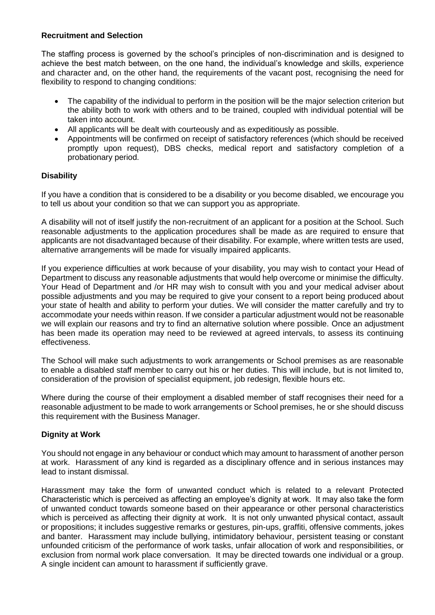### **Recruitment and Selection**

The staffing process is governed by the school's principles of non-discrimination and is designed to achieve the best match between, on the one hand, the individual's knowledge and skills, experience and character and, on the other hand, the requirements of the vacant post, recognising the need for flexibility to respond to changing conditions:

- The capability of the individual to perform in the position will be the major selection criterion but the ability both to work with others and to be trained, coupled with individual potential will be taken into account.
- All applicants will be dealt with courteously and as expeditiously as possible.
- Appointments will be confirmed on receipt of satisfactory references (which should be received promptly upon request), DBS checks, medical report and satisfactory completion of a probationary period.

### **Disability**

If you have a condition that is considered to be a disability or you become disabled, we encourage you to tell us about your condition so that we can support you as appropriate.

A disability will not of itself justify the non-recruitment of an applicant for a position at the School. Such reasonable adjustments to the application procedures shall be made as are required to ensure that applicants are not disadvantaged because of their disability. For example, where written tests are used, alternative arrangements will be made for visually impaired applicants.

If you experience difficulties at work because of your disability, you may wish to contact your Head of Department to discuss any reasonable adjustments that would help overcome or minimise the difficulty. Your Head of Department and /or HR may wish to consult with you and your medical adviser about possible adjustments and you may be required to give your consent to a report being produced about your state of health and ability to perform your duties. We will consider the matter carefully and try to accommodate your needs within reason. If we consider a particular adjustment would not be reasonable we will explain our reasons and try to find an alternative solution where possible. Once an adjustment has been made its operation may need to be reviewed at agreed intervals, to assess its continuing effectiveness.

The School will make such adjustments to work arrangements or School premises as are reasonable to enable a disabled staff member to carry out his or her duties. This will include, but is not limited to, consideration of the provision of specialist equipment, job redesign, flexible hours etc.

Where during the course of their employment a disabled member of staff recognises their need for a reasonable adjustment to be made to work arrangements or School premises, he or she should discuss this requirement with the Business Manager.

### **Dignity at Work**

You should not engage in any behaviour or conduct which may amount to harassment of another person at work. Harassment of any kind is regarded as a disciplinary offence and in serious instances may lead to instant dismissal.

Harassment may take the form of unwanted conduct which is related to a relevant Protected Characteristic which is perceived as affecting an employee's dignity at work. It may also take the form of unwanted conduct towards someone based on their appearance or other personal characteristics which is perceived as affecting their dignity at work. It is not only unwanted physical contact, assault or propositions; it includes suggestive remarks or gestures, pin-ups, graffiti, offensive comments, jokes and banter. Harassment may include bullying, intimidatory behaviour, persistent teasing or constant unfounded criticism of the performance of work tasks, unfair allocation of work and responsibilities, or exclusion from normal work place conversation. It may be directed towards one individual or a group. A single incident can amount to harassment if sufficiently grave.